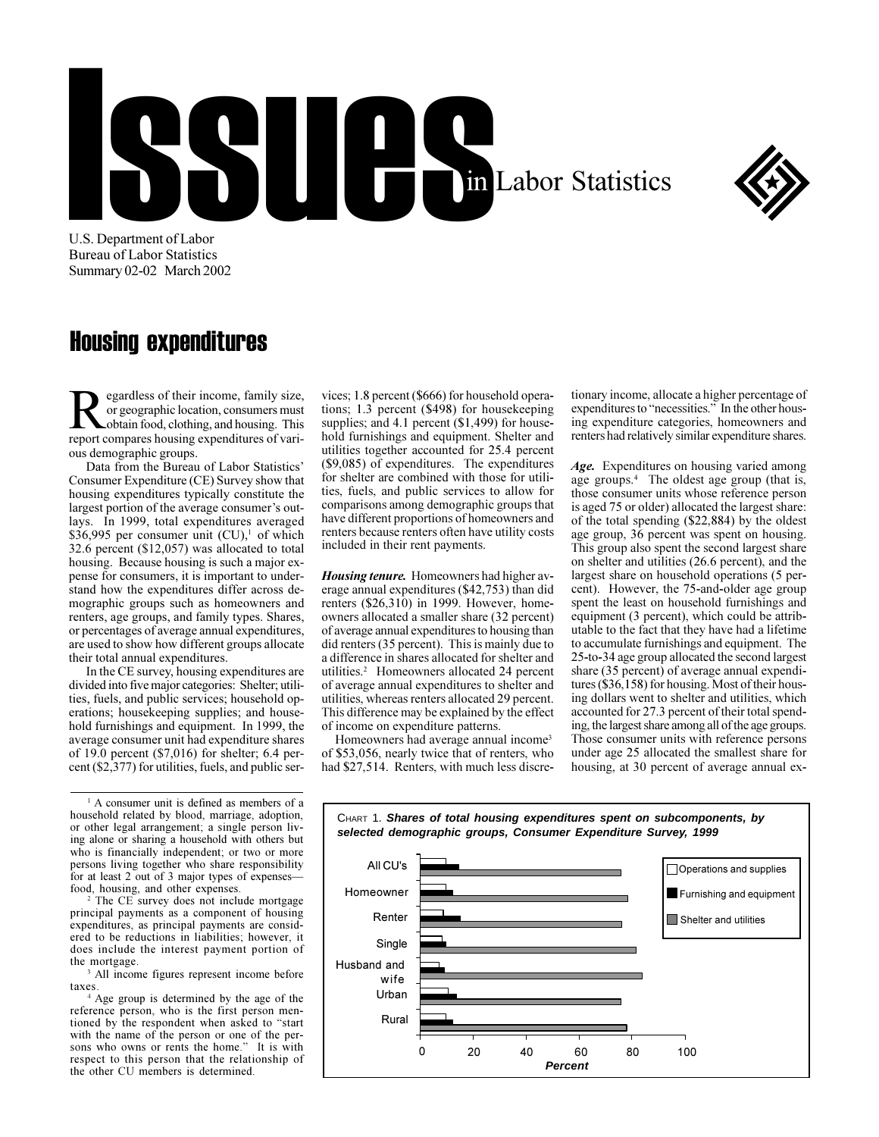## ICE de la Cinquin Labor Statistics



U.S. Department of Labor **Bureau of Labor Statistics** Summary 02-02 March 2002

## **Housing expenditures**

egardless of their income, family size, or geographic location, consumers must obtain food, clothing, and housing. This report compares housing expenditures of various demographic groups.

Data from the Bureau of Labor Statistics' Consumer Expenditure (CE) Survey show that housing expenditures typically constitute the largest portion of the average consumer's outlays. In 1999, total expenditures averaged \$36,995 per consumer unit  $(CU)$ , of which 32.6 percent (\$12,057) was allocated to total housing. Because housing is such a major expense for consumers, it is important to understand how the expenditures differ across demographic groups such as homeowners and renters, age groups, and family types. Shares, or percentages of average annual expenditures, are used to show how different groups allocate their total annual expenditures.

In the CE survey, housing expenditures are divided into five major categories: Shelter; utilities, fuels, and public services; household operations; housekeeping supplies; and household furnishings and equipment. In 1999, the average consumer unit had expenditure shares of 19.0 percent  $(\text{$}7,016)$  for shelter; 6.4 percent (\$2,377) for utilities, fuels, and public ser-

<sup>1</sup> A consumer unit is defined as members of a household related by blood, marriage, adoption, or other legal arrangement; a single person living alone or sharing a household with others but who is financially independent; or two or more persons living together who share responsibility for at least 2 out of 3 major types of expenses food, housing, and other expenses.

<sup>2</sup> The CE survey does not include mortgage principal payments as a component of housing expenditures, as principal payments are considered to be reductions in liabilities; however, it does include the interest payment portion of the mortgage

<sup>3</sup> All income figures represent income before taxes.

<sup>4</sup> Age group is determined by the age of the reference person, who is the first person mentioned by the respondent when asked to "start with the name of the person or one of the persons who owns or rents the home." It is with respect to this person that the relationship of the other CU members is determined.

vices; 1.8 percent (\$666) for household operations;  $1.3$  percent (\$498) for housekeeping supplies; and 4.1 percent  $(\$1,499)$  for household furnishings and equipment. Shelter and utilities together accounted for 25.4 percent  $(\$9,085)$  of expenditures. The expenditures for shelter are combined with those for utilities, fuels, and public services to allow for comparisons among demographic groups that have different proportions of homeowners and renters because renters often have utility costs included in their rent payments.

**Housing tenure.** Homeowners had higher average annual expenditures (\$42,753) than did renters  $(\$26.310)$  in 1999. However, homeowners allocated a smaller share (32 percent) of average annual expenditures to housing than did renters (35 percent). This is mainly due to a difference in shares allocated for shelter and utilities.<sup>2</sup> Homeowners allocated 24 percent of average annual expenditures to shelter and utilities, whereas renters allocated 29 percent. This difference may be explained by the effect of income on expenditure patterns.

Homeowners had average annual income<sup>3</sup> of \$53,056, nearly twice that of renters, who had \$27,514. Renters, with much less discretionary income, allocate a higher percentage of expenditures to "necessities." In the other housing expenditure categories, homeowners and renters had relatively similar expenditure shares.

Age. Expenditures on housing varied among age groups.<sup>4</sup> The oldest age group (that is, those consumer units whose reference person is aged 75 or older) allocated the largest share: of the total spending (\$22,884) by the oldest age group, 36 percent was spent on housing. This group also spent the second largest share on shelter and utilities (26.6 percent), and the largest share on household operations (5 percent). However, the 75-and-older age group spent the least on household furnishings and equipment (3 percent), which could be attributable to the fact that they have had a lifetime to accumulate furnishings and equipment. The 25-to-34 age group allocated the second largest share (35 percent) of average annual expenditures (\$36,158) for housing. Most of their housing dollars went to shelter and utilities, which accounted for 27.3 percent of their total spending, the largest share among all of the age groups. Those consumer units with reference persons under age 25 allocated the smallest share for housing, at 30 percent of average annual ex-